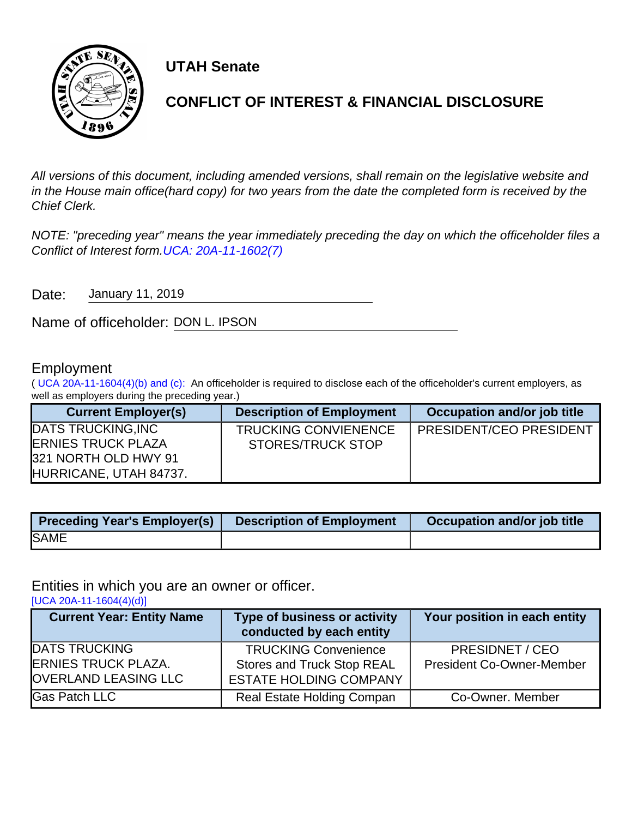

**UTAH Senate**

# **CONFLICT OF INTEREST & FINANCIAL DISCLOSURE**

All versions of this document, including amended versions, shall remain on the legislative website and in the House main office(hard copy) for two years from the date the completed form is received by the Chief Clerk.

NOTE: "preceding year" means the year immediately preceding the day on which the officeholder files a Conflict of Interest form.[UCA: 20A-11-1602\(7\)](http://www.le.utah.gov/xcode/Title20A/Chapter11/20A-11-S1602.html)

Date: January 11, 2019

Name of officeholder: DON L. IPSON

## Employment

( [UCA 20A-11-1604\(4\)\(b\) and \(c\):](https://le.utah.gov/xcode/Title20A/Chapter11/20A-11-S1604.html) An officeholder is required to disclose each of the officeholder's current employers, as well as employers during the preceding year.)

| <b>Current Employer(s)</b>                        | <b>Description of Employment</b> | Occupation and/or job title    |
|---------------------------------------------------|----------------------------------|--------------------------------|
| <b>DATS TRUCKING, INC</b>                         | <b>TRUCKING CONVIENENCE</b>      | <b>PRESIDENT/CEO PRESIDENT</b> |
| <b>ERNIES TRUCK PLAZA</b><br>321 NORTH OLD HWY 91 | <b>STORES/TRUCK STOP</b>         |                                |
| HURRICANE, UTAH 84737.                            |                                  |                                |

| <b>Preceding Year's Employer(s)</b> | <b>Description of Employment</b> | Occupation and/or job title |
|-------------------------------------|----------------------------------|-----------------------------|
| <b>SAME</b>                         |                                  |                             |

Entities in which you are an owner or officer.

[\[UCA 20A-11-1604\(4\)\(d\)\]](https://le.utah.gov/xcode/Title20A/Chapter11/20A-11-S1604.html)

| <b>Current Year: Entity Name</b>                                                  | Type of business or activity<br>conducted by each entity                                          | Your position in each entity                        |
|-----------------------------------------------------------------------------------|---------------------------------------------------------------------------------------------------|-----------------------------------------------------|
| <b>DATS TRUCKING</b><br><b>ERNIES TRUCK PLAZA.</b><br><b>OVERLAND LEASING LLC</b> | <b>TRUCKING Convenience</b><br><b>Stores and Truck Stop REAL</b><br><b>ESTATE HOLDING COMPANY</b> | PRESIDNET / CEO<br><b>President Co-Owner-Member</b> |
| <b>Gas Patch LLC</b>                                                              | <b>Real Estate Holding Compan</b>                                                                 | Co-Owner. Member                                    |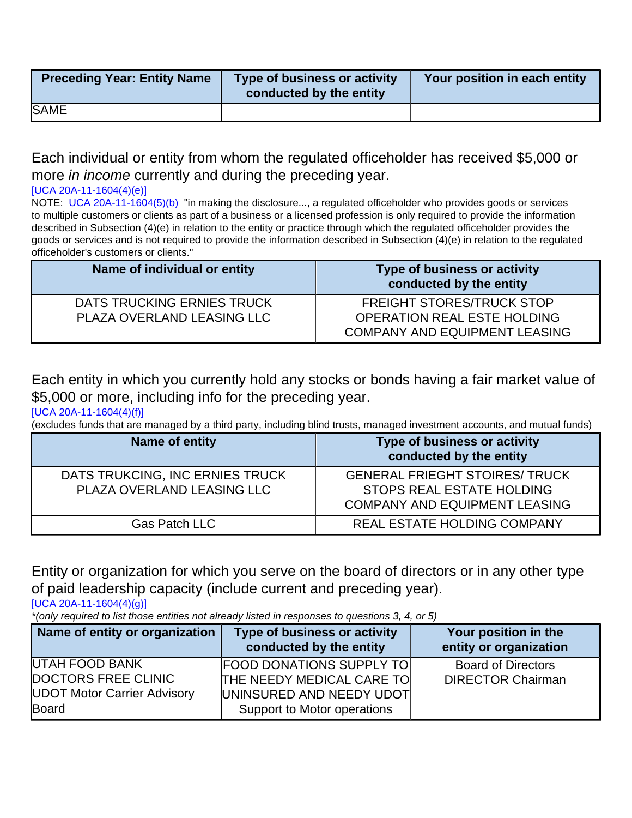| <b>Preceding Year: Entity Name</b> | Type of business or activity<br>conducted by the entity | Your position in each entity |
|------------------------------------|---------------------------------------------------------|------------------------------|
| <b>SAME</b>                        |                                                         |                              |

Each individual or entity from whom the regulated officeholder has received \$5,000 or more *in income* currently and during the preceding year.

#### [\[UCA 20A-11-1604\(4\)\(e\)\]](https://le.utah.gov/xcode/Title20A/Chapter11/20A-11-S1604.html)

NOTE: [UCA 20A-11-1604\(5\)\(b\)](http://le.utah.gov/xcode/Title20A/Chapter11/20A-11-S1604.html?v=C20A-11-S1604_2014040320140313) "in making the disclosure..., a regulated officeholder who provides goods or services to multiple customers or clients as part of a business or a licensed profession is only required to provide the information described in Subsection (4)(e) in relation to the entity or practice through which the regulated officeholder provides the goods or services and is not required to provide the information described in Subsection (4)(e) in relation to the regulated officeholder's customers or clients."

| Name of individual or entity | <b>Type of business or activity</b><br>conducted by the entity |
|------------------------------|----------------------------------------------------------------|
| DATS TRUCKING ERNIES TRUCK   | <b>FREIGHT STORES/TRUCK STOP</b>                               |
| PLAZA OVERLAND LEASING LLC   | <b>OPERATION REAL ESTE HOLDING</b>                             |
|                              | <b>COMPANY AND EQUIPMENT LEASING</b>                           |

Each entity in which you currently hold any stocks or bonds having a fair market value of \$5,000 or more, including info for the preceding year.

#### [\[UCA 20A-11-1604\(4\)\(f\)\]](https://le.utah.gov/xcode/Title20A/Chapter11/20A-11-S1604.html)

(excludes funds that are managed by a third party, including blind trusts, managed investment accounts, and mutual funds)

| Name of entity                                                | <b>Type of business or activity</b><br>conducted by the entity                                             |
|---------------------------------------------------------------|------------------------------------------------------------------------------------------------------------|
| DATS TRUKCING, INC ERNIES TRUCK<br>PLAZA OVERLAND LEASING LLC | <b>GENERAL FRIEGHT STOIRES/ TRUCK</b><br>STOPS REAL ESTATE HOLDING<br><b>COMPANY AND EQUIPMENT LEASING</b> |
| <b>Gas Patch LLC</b>                                          | <b>REAL ESTATE HOLDING COMPANY</b>                                                                         |

Entity or organization for which you serve on the board of directors or in any other type of paid leadership capacity (include current and preceding year).

[\[UCA 20A-11-1604\(4\)\(g\)\]](https://le.utah.gov/xcode/Title20A/Chapter11/20A-11-S1604.html)

\*(only required to list those entities not already listed in responses to questions 3, 4, or 5)

| Name of entity or organization     | <b>Type of business or activity</b> | Your position in the      |
|------------------------------------|-------------------------------------|---------------------------|
|                                    | conducted by the entity             | entity or organization    |
| <b>UTAH FOOD BANK</b>              | <b>FOOD DONATIONS SUPPLY TO</b>     | <b>Board of Directors</b> |
| DOCTORS FREE CLINIC                | <b>THE NEEDY MEDICAL CARE TO</b>    | <b>DIRECTOR Chairman</b>  |
| <b>UDOT Motor Carrier Advisory</b> | UNINSURED AND NEEDY UDOT            |                           |
| Board                              | Support to Motor operations         |                           |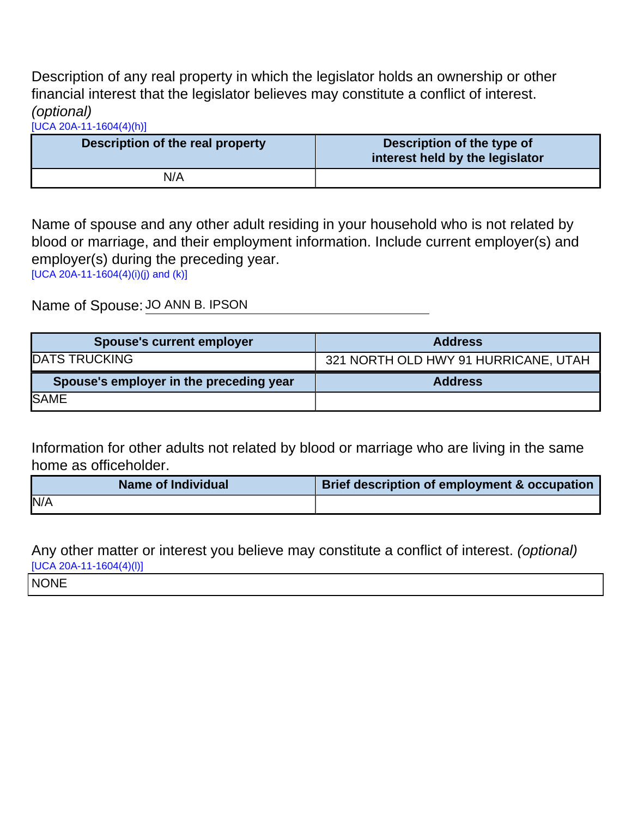Description of any real property in which the legislator holds an ownership or other financial interest that the legislator believes may constitute a conflict of interest. (optional)

[\[UCA 20A-11-1604\(4\)\(h\)\]](https://le.utah.gov/xcode/Title20A/Chapter11/20A-11-S1604.html)

| Description of the real property | Description of the type of<br>interest held by the legislator |
|----------------------------------|---------------------------------------------------------------|
| N/A                              |                                                               |

Name of spouse and any other adult residing in your household who is not related by blood or marriage, and their employment information. Include current employer(s) and employer(s) during the preceding year.

[\[UCA 20A-11-1604\(4\)\(i\)\(j\) and \(k\)\]](https://le.utah.gov/xcode/Title20A/Chapter11/20A-11-S1604.html)

Name of Spouse: JO ANN B. IPSON

| <b>Spouse's current employer</b>        | <b>Address</b>                       |
|-----------------------------------------|--------------------------------------|
| <b>DATS TRUCKING</b>                    | 321 NORTH OLD HWY 91 HURRICANE, UTAH |
|                                         |                                      |
| Spouse's employer in the preceding year | <b>Address</b>                       |

Information for other adults not related by blood or marriage who are living in the same home as officeholder.

| Name of Individual | Brief description of employment & occupation |
|--------------------|----------------------------------------------|
| N/A                |                                              |

Any other matter or interest you believe may constitute a conflict of interest. (optional)  $[UCA 20A-11-1604(4)(I)]$ 

NONE